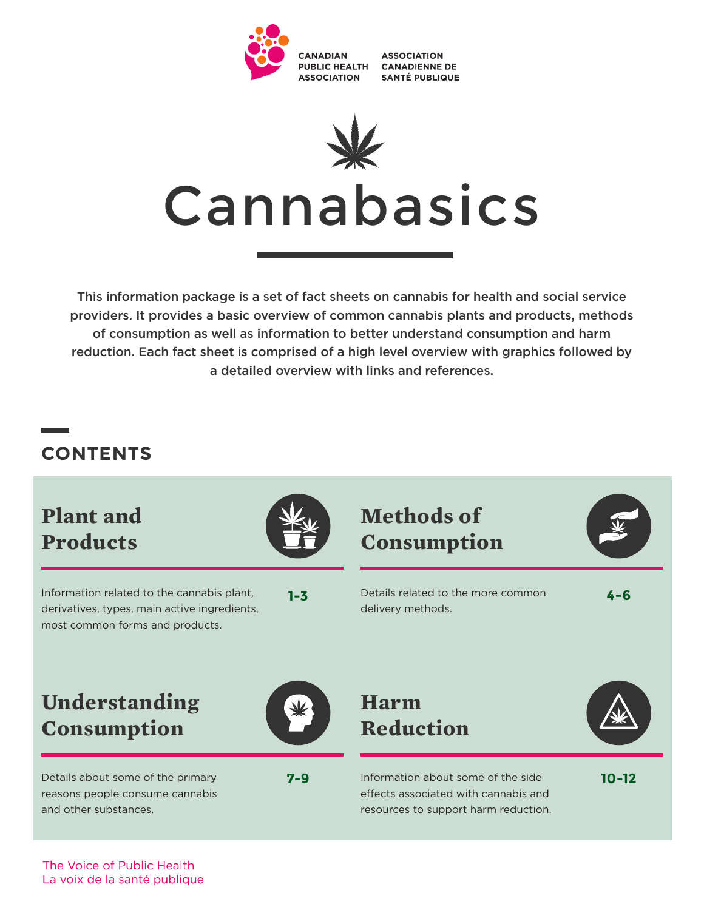



This information package is a set of fact sheets on cannabis for health and social service providers. It provides a basic overview of common cannabis plants and products, methods of consumption as well as information to better understand consumption and harm reduction. Each fact sheet is comprised of a high level overview with graphics followed by a detailed overview with links and references.

### **CONTENTS**

# **Plant and Products**



Information related to the cannabis plant, derivatives, types, main active ingredients, most common forms and products.

**1-3**

# **Methods of Consumption**

Details related to the more common delivery methods.

**4-6**

### **Understanding Consumption**



Details about some of the primary reasons people consume cannabis and other substances.



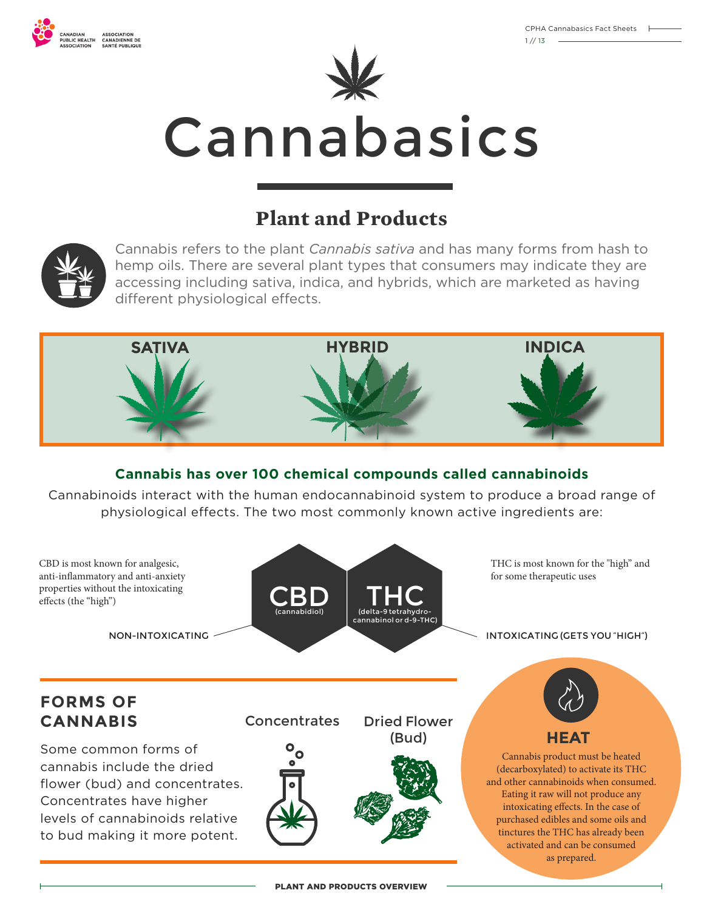



# **Plant and Products**



Cannabis refers to the plant *Cannabis sativa* and has many forms from hash to hemp oils. There are several plant types that consumers may indicate they are accessing including sativa, indica, and hybrids, which are marketed as having different physiological effects.



#### **Cannabis has over 100 chemical compounds called cannabinoids**

Cannabinoids interact with the human endocannabinoid system to produce a broad range of physiological effects. The two most commonly known active ingredients are:

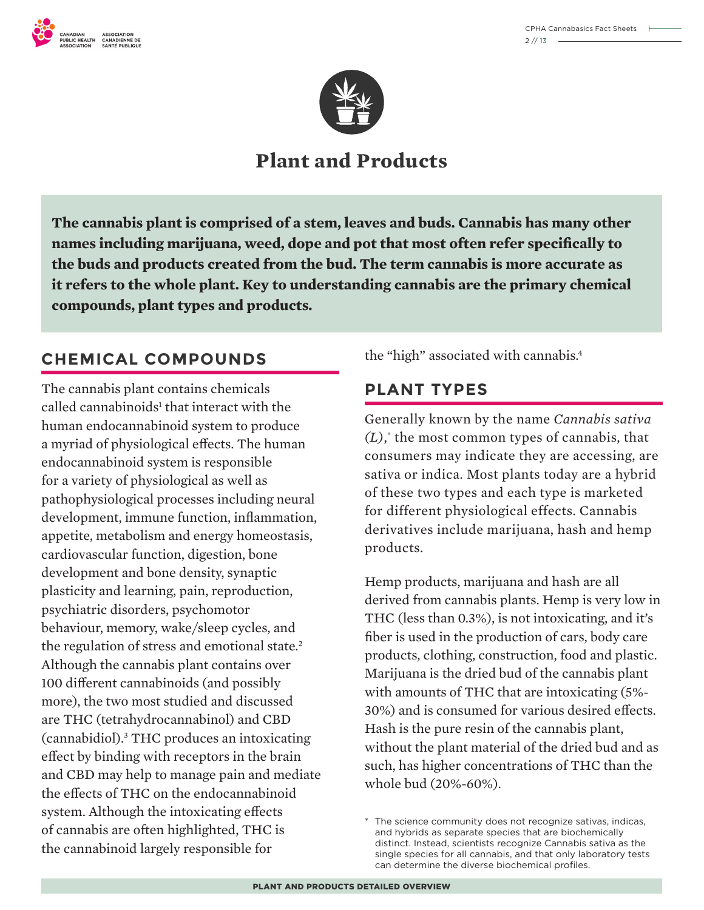



### **Plant and Products**

**The cannabis plant is comprised of a stem, leaves and buds. Cannabis has many other names including marijuana, weed, dope and pot that most often refer specifically to the buds and products created from the bud. The term cannabis is more accurate as it refers to the whole plant. Key to understanding cannabis are the primary chemical compounds, plant types and products.**

### **CHEMICAL COMPOUNDS**

The cannabis plant contains chemicals called cannabinoids<sup>1</sup> that interact with the human endocannabinoid system to produce a myriad of physiological effects. The human endocannabinoid system is responsible for a variety of physiological as well as pathophysiological processes including neural development, immune function, inflammation, appetite, metabolism and energy homeostasis, cardiovascular function, digestion, bone development and bone density, synaptic plasticity and learning, pain, reproduction, psychiatric disorders, psychomotor behaviour, memory, wake/sleep cycles, and the regulation of stress and emotional state.<sup>2</sup> Although the cannabis plant contains over 100 different cannabinoids (and possibly more), the two most studied and discussed are THC (tetrahydrocannabinol) and CBD (cannabidiol).3 THC produces an intoxicating effect by binding with receptors in the brain and CBD may help to manage pain and mediate the effects of THC on the endocannabinoid system. Although the intoxicating effects of cannabis are often highlighted, THC is the cannabinoid largely responsible for

the "high" associated with cannabis.<sup>4</sup>

#### **PLANT TYPES**

Generally known by the name *Cannabis sativa (L)*, \* the most common types of cannabis, that consumers may indicate they are accessing, are sativa or indica. Most plants today are a hybrid of these two types and each type is marketed for different physiological effects. Cannabis derivatives include marijuana, hash and hemp products.

Hemp products, marijuana and hash are all derived from cannabis plants. Hemp is very low in THC (less than 0.3%), is not intoxicating, and it's fiber is used in the production of cars, body care products, clothing, construction, food and plastic. Marijuana is the dried bud of the cannabis plant with amounts of THC that are intoxicating (5%- 30%) and is consumed for various desired effects. Hash is the pure resin of the cannabis plant, without the plant material of the dried bud and as such, has higher concentrations of THC than the whole bud (20%-60%).

<sup>\*</sup> The science community does not recognize sativas, indicas, and hybrids as separate species that are biochemically distinct. Instead, scientists recognize Cannabis sativa as the single species for all cannabis, and that only laboratory tests can determine the diverse biochemical profiles.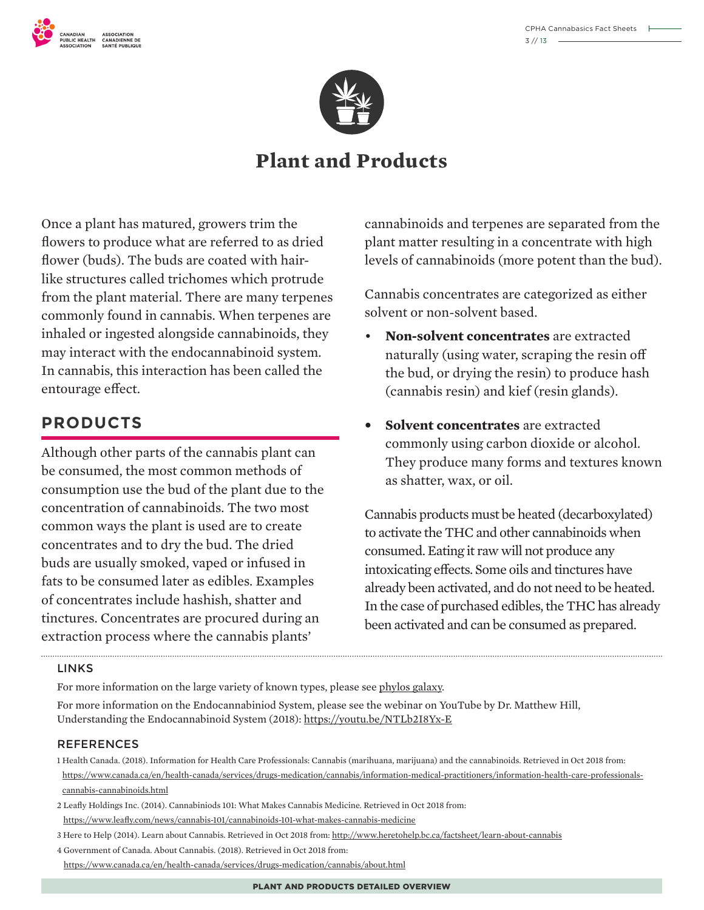



### **Plant and Products**

Once a plant has matured, growers trim the flowers to produce what are referred to as dried flower (buds). The buds are coated with hairlike structures called trichomes which protrude from the plant material. There are many terpenes commonly found in cannabis. When terpenes are inhaled or ingested alongside cannabinoids, they may interact with the endocannabinoid system. In cannabis, this interaction has been called the entourage effect.

### **PRODUCTS**

Although other parts of the cannabis plant can be consumed, the most common methods of consumption use the bud of the plant due to the concentration of cannabinoids. The two most common ways the plant is used are to create concentrates and to dry the bud. The dried buds are usually smoked, vaped or infused in fats to be consumed later as edibles. Examples of concentrates include hashish, shatter and tinctures. Concentrates are procured during an extraction process where the cannabis plants'

cannabinoids and terpenes are separated from the plant matter resulting in a concentrate with high levels of cannabinoids (more potent than the bud).

Cannabis concentrates are categorized as either solvent or non-solvent based.

- **Non-solvent concentrates** are extracted naturally (using water, scraping the resin off the bud, or drying the resin) to produce hash (cannabis resin) and kief (resin glands).
- **Solvent concentrates** are extracted commonly using carbon dioxide or alcohol. They produce many forms and textures known as shatter, wax, or oil.

Cannabis products must be heated (decarboxylated) to activate the THC and other cannabinoids when consumed. Eating it raw will not produce any intoxicating effects. Some oils and tinctures have already been activated, and do not need to be heated. In the case of purchased edibles, the THC has already been activated and can be consumed as prepared.

#### LINKS

For more information on the large variety of known types, please see [phylos galaxy](https://phylos.bio/galaxy/).

For more information on the Endocannabiniod System, please see the webinar on YouTube by Dr. Matthew Hill, Understanding the Endocannabinoid System (2018):<https://youtu.be/NTLb2I8Yx-E>

#### **REFERENCES**

- 1 Health Canada. (2018). Information for Health Care Professionals: Cannabis (marihuana, marijuana) and the cannabinoids. Retrieved in Oct 2018 from: [https://www.canada.ca/en/health-canada/services/drugs-medication/cannabis/information-medical-practitioners/information-health-care-professionals](https://www.canada.ca/en/health-canada/services/drugs-medication/cannabis/information-medical-practitioners/information-health-care-professionals-cannabis-cannabinoids.html)[cannabis-cannabinoids.html](https://www.canada.ca/en/health-canada/services/drugs-medication/cannabis/information-medical-practitioners/information-health-care-professionals-cannabis-cannabinoids.html)
- 2 Leafly Holdings Inc. (2014). Cannabiniods 101: What Makes Cannabis Medicine. Retrieved in Oct 2018 from: <https://www.leafly.com/news/cannabis-101/cannabinoids-101-what-makes-cannabis-medicine>

3 Here to Help (2014). Learn about Cannabis. Retrieved in Oct 2018 from: <http://www.heretohelp.bc.ca/factsheet/learn-about-cannabis>

4 Government of Canada. About Cannabis. (2018). Retrieved in Oct 2018 from: <https://www.canada.ca/en/health-canada/services/drugs-medication/cannabis/about.html>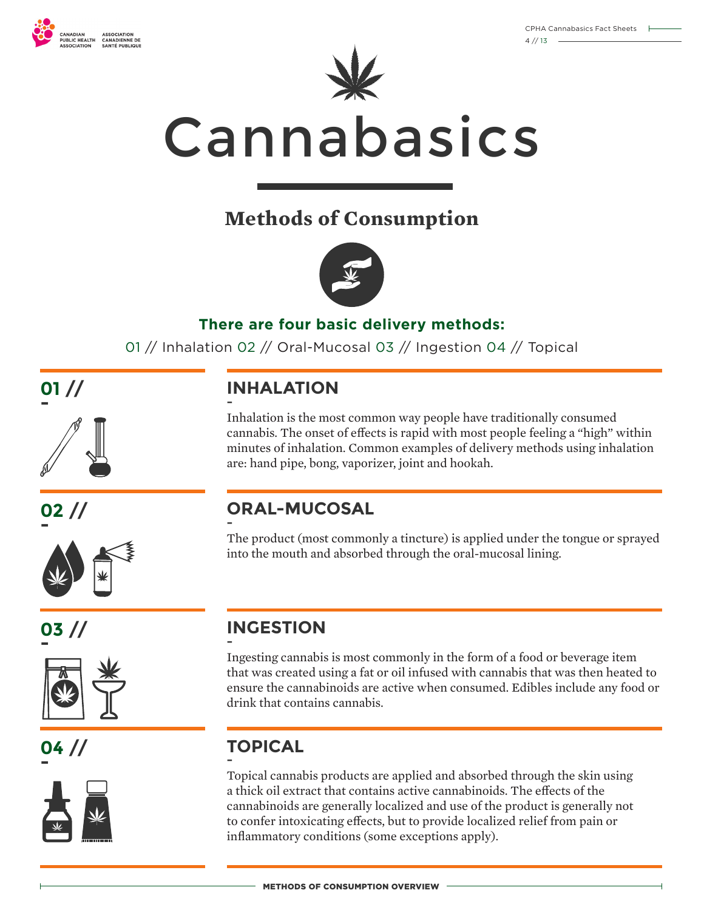

**<sup>01</sup> // -**

**<sup>02</sup> // -**

**<sup>03</sup> // -**

**<sup>04</sup> // -**



Cannabasics

# **Methods of Consumption**



#### **There are four basic delivery methods:**

01 // Inhalation 02 // Oral-Mucosal 03 // Ingestion 04 // Topical



Inhalation is the most common way people have traditionally consumed cannabis. The onset of effects is rapid with most people feeling a "high" within minutes of inhalation. Common examples of delivery methods using inhalation are: hand pipe, bong, vaporizer, joint and hookah.

#### **ORAL-MUCOSAL** -

The product (most commonly a tincture) is applied under the tongue or sprayed into the mouth and absorbed through the oral-mucosal lining.

#### **INGESTION** -

Ingesting cannabis is most commonly in the form of a food or beverage item that was created using a fat or oil infused with cannabis that was then heated to ensure the cannabinoids are active when consumed. Edibles include any food or drink that contains cannabis.

#### **TOPICAL** -

Topical cannabis products are applied and absorbed through the skin using a thick oil extract that contains active cannabinoids. The effects of the cannabinoids are generally localized and use of the product is generally not to confer intoxicating effects, but to provide localized relief from pain or inflammatory conditions (some exceptions apply).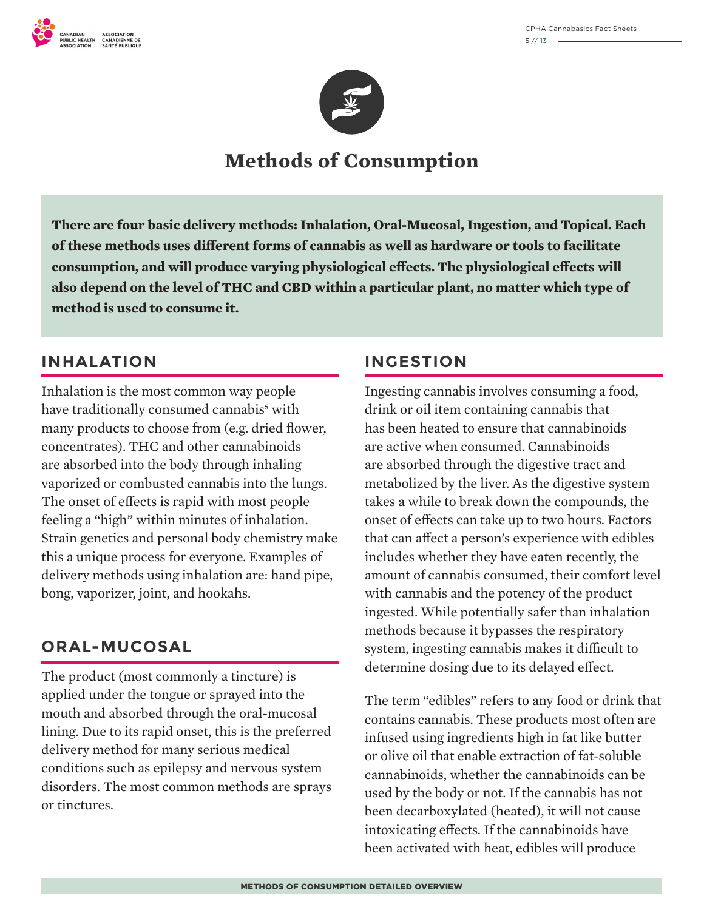



### **Methods of Consumption**

**There are four basic delivery methods: Inhalation, Oral-Mucosal, Ingestion, and Topical. Each of these methods uses different forms of cannabis as well as hardware or tools to facilitate consumption, and will produce varying physiological effects. The physiological effects will also depend on the level of THC and CBD within a particular plant, no matter which type of method is used to consume it.**

#### **INHALATION**

Inhalation is the most common way people have traditionally consumed cannabis<sup>5</sup> with many products to choose from (e.g. dried flower, concentrates). THC and other cannabinoids are absorbed into the body through inhaling vaporized or combusted cannabis into the lungs. The onset of effects is rapid with most people feeling a "high" within minutes of inhalation. Strain genetics and personal body chemistry make this a unique process for everyone. Examples of delivery methods using inhalation are: hand pipe, bong, vaporizer, joint, and hookahs.

### **ORAL-MUCOSAL**

The product (most commonly a tincture) is applied under the tongue or sprayed into the mouth and absorbed through the oral-mucosal lining. Due to its rapid onset, this is the preferred delivery method for many serious medical conditions such as epilepsy and nervous system disorders. The most common methods are sprays or tinctures.

#### **INGESTION**

Ingesting cannabis involves consuming a food, drink or oil item containing cannabis that has been heated to ensure that cannabinoids are active when consumed. Cannabinoids are absorbed through the digestive tract and metabolized by the liver. As the digestive system takes a while to break down the compounds, the onset of effects can take up to two hours. Factors that can affect a person's experience with edibles includes whether they have eaten recently, the amount of cannabis consumed, their comfort level with cannabis and the potency of the product ingested. While potentially safer than inhalation methods because it bypasses the respiratory system, ingesting cannabis makes it difficult to determine dosing due to its delayed effect.

The term "edibles" refers to any food or drink that contains cannabis. These products most often are infused using ingredients high in fat like butter or olive oil that enable extraction of fat-soluble cannabinoids, whether the cannabinoids can be used by the body or not. If the cannabis has not been decarboxylated (heated), it will not cause intoxicating effects. If the cannabinoids have been activated with heat, edibles will produce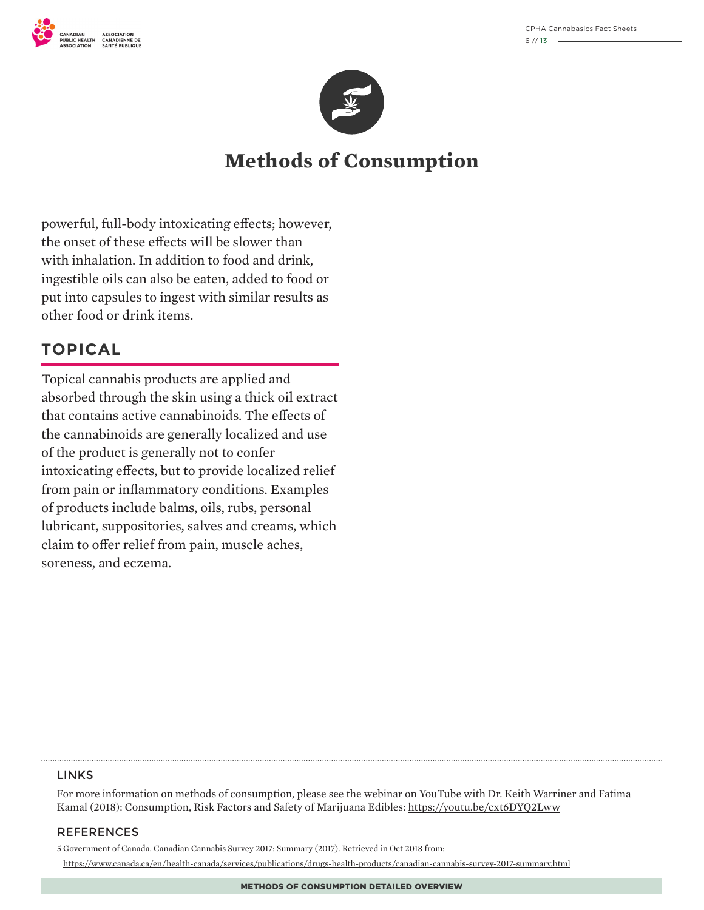



### **Methods of Consumption**

powerful, full-body intoxicating effects; however, the onset of these effects will be slower than with inhalation. In addition to food and drink, ingestible oils can also be eaten, added to food or put into capsules to ingest with similar results as other food or drink items.

#### **TOPICAL**

Topical cannabis products are applied and absorbed through the skin using a thick oil extract that contains active cannabinoids. The effects of the cannabinoids are generally localized and use of the product is generally not to confer intoxicating effects, but to provide localized relief from pain or inflammatory conditions. Examples of products include balms, oils, rubs, personal lubricant, suppositories, salves and creams, which claim to offer relief from pain, muscle aches, soreness, and eczema.

#### LINKS

For more information on methods of consumption, please see the webinar on YouTube with Dr. Keith Warriner and Fatima Kamal (2018): Consumption, Risk Factors and Safety of Marijuana Edibles: <https://youtu.be/cxt6DYQ2Lww>

#### REFERENCES

5 Government of Canada. Canadian Cannabis Survey 2017: Summary (2017). Retrieved in Oct 2018 from: <https://www.canada.ca/en/health-canada/services/publications/drugs-health-products/canadian-cannabis-survey-2017-summary.html>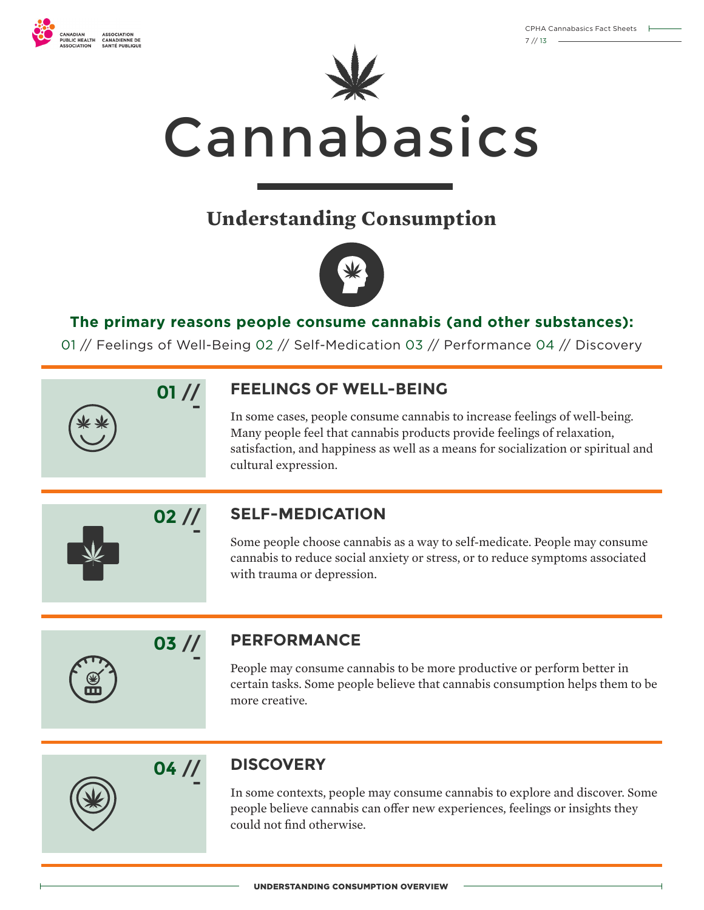



# **Understanding Consumption**



#### **The primary reasons people consume cannabis (and other substances):**

01 // Feelings of Well-Being 02 // Self-Medication 03 // Performance 04 // Discovery



**-**

#### **FEELINGS OF WELL-BEING**

In some cases, people consume cannabis to increase feelings of well-being. Many people feel that cannabis products provide feelings of relaxation, satisfaction, and happiness as well as a means for socialization or spiritual and cultural expression.



### **SELF-MEDICATION**

Some people choose cannabis as a way to self-medicate. People may consume cannabis to reduce social anxiety or stress, or to reduce symptoms associated with trauma or depression.



#### **PERFORMANCE**

People may consume cannabis to be more productive or perform better in certain tasks. Some people believe that cannabis consumption helps them to be more creative.



#### **DISCOVERY**

In some contexts, people may consume cannabis to explore and discover. Some people believe cannabis can offer new experiences, feelings or insights they could not find otherwise.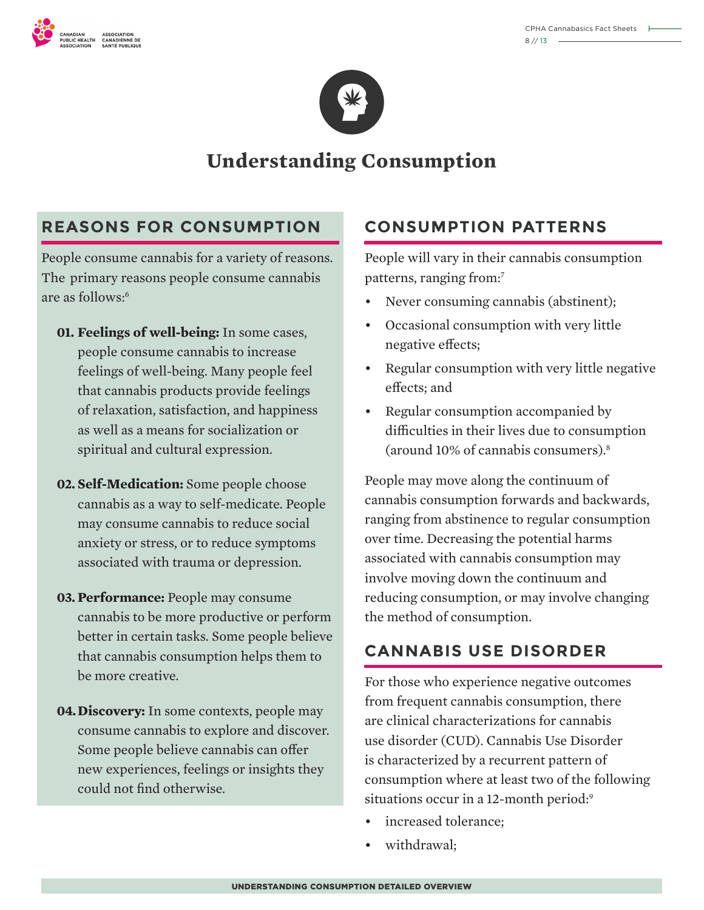





### **Understanding Consumption**

### **REASONS FOR CONSUMPTION**

People consume cannabis for a variety of reasons. The primary reasons people consume cannabis are as follows:<sup>6</sup>

- **01. Feelings of well-being:** In some cases, people consume cannabis to increase feelings of well-being. Many people feel that cannabis products provide feelings of relaxation, satisfaction, and happiness as well as a means for socialization or spiritual and cultural expression.
- **02. Self-Medication:** Some people choose cannabis as a way to self-medicate. People may consume cannabis to reduce social anxiety or stress, or to reduce symptoms associated with trauma or depression.
- **03. Performance:** People may consume cannabis to be more productive or perform better in certain tasks. Some people believe that cannabis consumption helps them to be more creative.
- **04.Discovery:** In some contexts, people may consume cannabis to explore and discover. Some people believe cannabis can offer new experiences, feelings or insights they could not find otherwise.

### **CONSUMPTION PATTERNS**

People will vary in their cannabis consumption patterns, ranging from:<sup>7</sup>

- Never consuming cannabis (abstinent);
- Occasional consumption with very little negative effects;
- • Regular consumption with very little negative effects; and
- Regular consumption accompanied by difficulties in their lives due to consumption (around 10% of cannabis consumers).8

People may move along the continuum of cannabis consumption forwards and backwards, ranging from abstinence to regular consumption over time. Decreasing the potential harms associated with cannabis consumption may involve moving down the continuum and reducing consumption, or may involve changing the method of consumption.

### **CANNABIS USE DISORDER**

For those who experience negative outcomes from frequent cannabis consumption, there are clinical characterizations for cannabis use disorder (CUD). Cannabis Use Disorder is characterized by a recurrent pattern of consumption where at least two of the following situations occur in a 12-month period:<sup>9</sup>

- increased tolerance;
- withdrawal;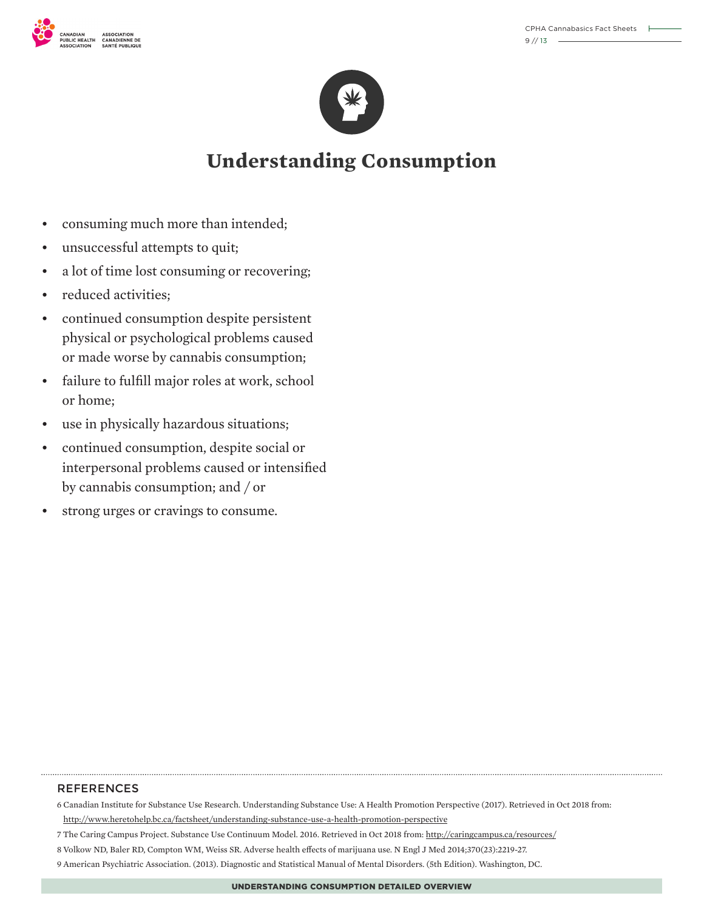

# **Understanding Consumption**

- consuming much more than intended;
- unsuccessful attempts to quit;
- a lot of time lost consuming or recovering;
- reduced activities:
- continued consumption despite persistent physical or psychological problems caused or made worse by cannabis consumption;
- • failure to fulfill major roles at work, school or home;
- use in physically hazardous situations;
- continued consumption, despite social or interpersonal problems caused or intensified by cannabis consumption; and / or
- strong urges or cravings to consume.

#### **REFERENCES**

.....................................

- 6 Canadian Institute for Substance Use Research. Understanding Substance Use: A Health Promotion Perspective (2017). Retrieved in Oct 2018 from: <http://www.heretohelp.bc.ca/factsheet/understanding-substance-use-a-health-promotion-perspective>
- 7 The Caring Campus Project. Substance Use Continuum Model. 2016. Retrieved in Oct 2018 from:<http://caringcampus.ca/resources/>
- 8 Volkow ND, Baler RD, Compton WM, Weiss SR. Adverse health effects of marijuana use. N Engl J Med 2014;370(23):2219-27.
- 9 American Psychiatric Association. (2013). Diagnostic and Statistical Manual of Mental Disorders. (5th Edition). Washington, DC.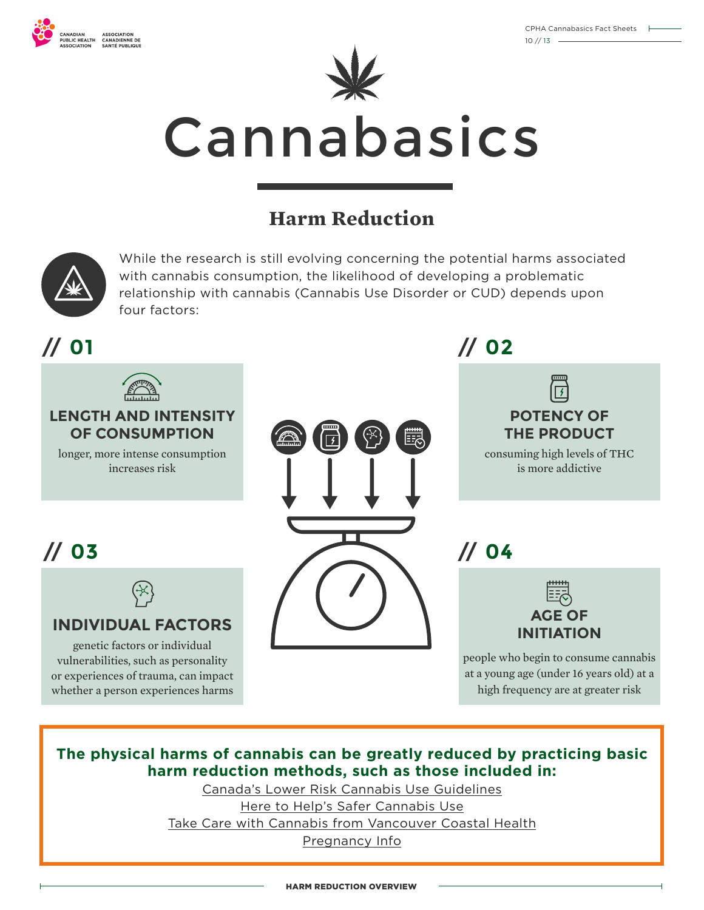



# **Harm Reduction**



While the research is still evolving concerning the potential harms associated with cannabis consumption, the likelihood of developing a problematic relationship with cannabis (Cannabis Use Disorder or CUD) depends upon four factors:

# **// 01**



#### **LENGTH AND INTENSITY OF CONSUMPTION**

longer, more intense consumption increases risk

# **// 03**



#### **INDIVIDUAL FACTORS**

genetic factors or individual vulnerabilities, such as personality or experiences of trauma, can impact whether a person experiences harms



**// 02**

**POTENCY OF THE PRODUCT**

consuming high levels of THC is more addictive

# **// 04**



people who begin to consume cannabis at a young age (under 16 years old) at a high frequency are at greater risk

#### **The physical harms of cannabis can be greatly reduced by practicing basic harm reduction methods, such as those included in:**

[Canada's Lower Risk Cannabis Use Guidelines](https://www.camh.ca/-/media/files/pdfs---reports-and-books---research/canadas-lower-risk-guidelines-cannabis-pdf.pdf) [Here to Help's Safer Cannabis Use](http://www.heretohelp.bc.ca/factsheet/safer-cannabis-use-marijuana-hash-hash-oil) [Take Care with Cannabis from Vancouver Coastal Health](http://www.vch.ca/about-us/news/take-care-with-cannabis) [Pregnancy Info](https://www.pregnancyinfo.ca/learn-more/)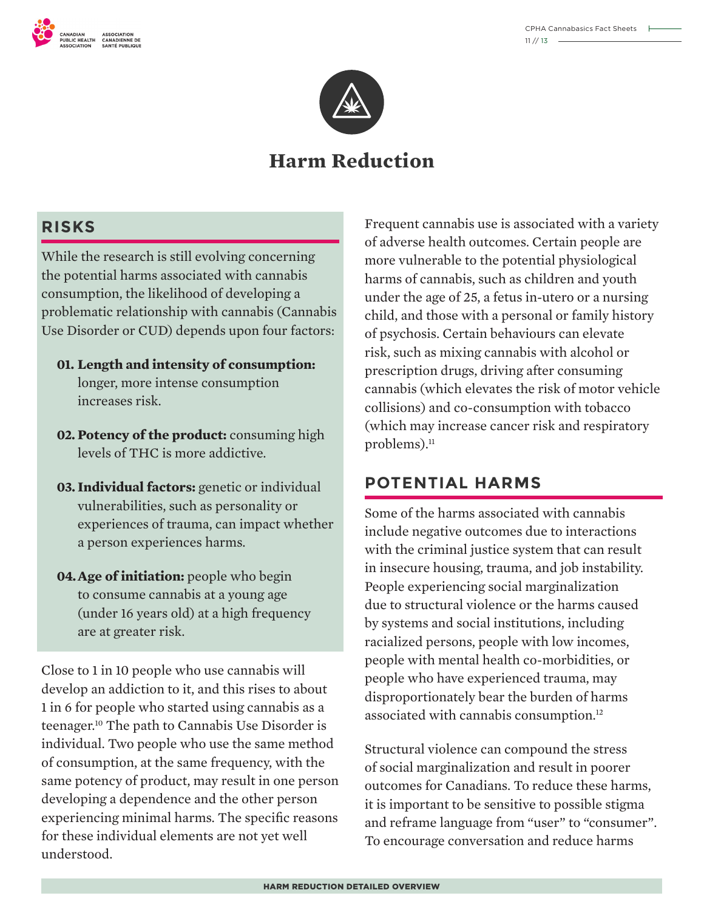

### **Harm Reduction**

### **RISKS**

While the research is still evolving concerning the potential harms associated with cannabis consumption, the likelihood of developing a problematic relationship with cannabis (Cannabis Use Disorder or CUD) depends upon four factors:

- **01. Length and intensity of consumption:**  longer, more intense consumption increases risk.
- **02. Potency of the product:** consuming high levels of THC is more addictive.
- **03. Individual factors:** genetic or individual vulnerabilities, such as personality or experiences of trauma, can impact whether a person experiences harms.
- **04.Age of initiation:** people who begin to consume cannabis at a young age (under 16 years old) at a high frequency are at greater risk.

Close to 1 in 10 people who use cannabis will develop an addiction to it, and this rises to about 1 in 6 for people who started using cannabis as a teenager.10 The path to Cannabis Use Disorder is individual. Two people who use the same method of consumption, at the same frequency, with the same potency of product, may result in one person developing a dependence and the other person experiencing minimal harms. The specific reasons for these individual elements are not yet well understood.

Frequent cannabis use is associated with a variety of adverse health outcomes. Certain people are more vulnerable to the potential physiological harms of cannabis, such as children and youth under the age of 25, a fetus in-utero or a nursing child, and those with a personal or family history of psychosis. Certain behaviours can elevate risk, such as mixing cannabis with alcohol or prescription drugs, driving after consuming cannabis (which elevates the risk of motor vehicle collisions) and co-consumption with tobacco (which may increase cancer risk and respiratory problems).<sup>11</sup>

#### **POTENTIAL HARMS**

Some of the harms associated with cannabis include negative outcomes due to interactions with the criminal justice system that can result in insecure housing, trauma, and job instability. People experiencing social marginalization due to structural violence or the harms caused by systems and social institutions, including racialized persons, people with low incomes, people with mental health co-morbidities, or people who have experienced trauma, may disproportionately bear the burden of harms associated with cannabis consumption.<sup>12</sup>

Structural violence can compound the stress of social marginalization and result in poorer outcomes for Canadians. To reduce these harms, it is important to be sensitive to possible stigma and reframe language from "user" to "consumer". To encourage conversation and reduce harms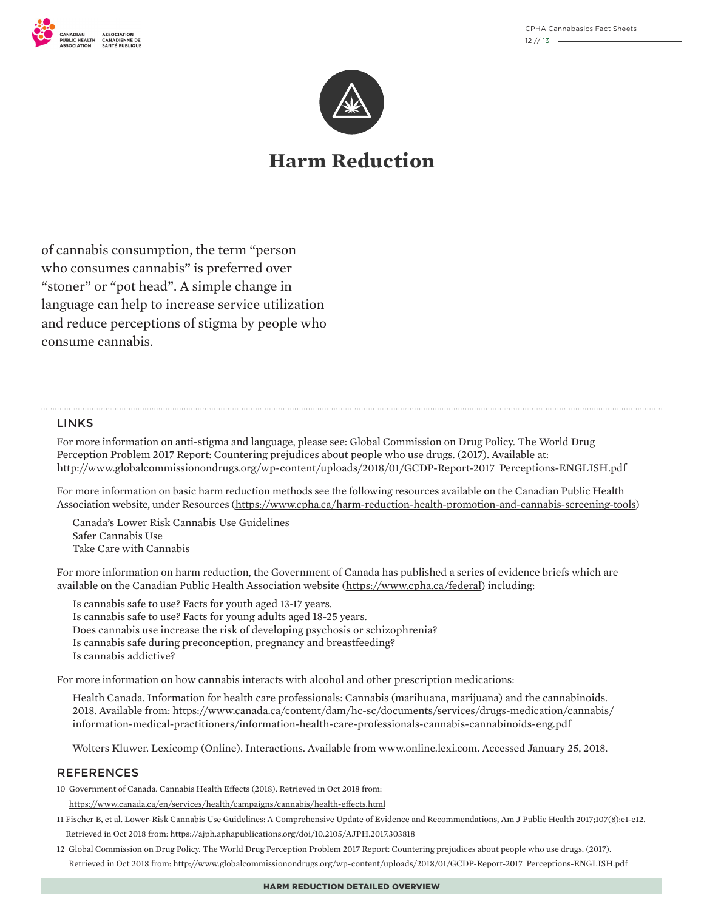



### **Harm Reduction**

of cannabis consumption, the term "person who consumes cannabis" is preferred over "stoner" or "pot head". A simple change in language can help to increase service utilization and reduce perceptions of stigma by people who consume cannabis.

#### LINKS

For more information on anti-stigma and language, please see: Global Commission on Drug Policy. The World Drug Perception Problem 2017 Report: Countering prejudices about people who use drugs. (2017). Available at: [http://www.globalcommissionondrugs.org/wp-content/uploads/2018/01/GCDP-Report-2017\\_Perceptions-ENGLISH.pdf](http://www.globalcommissionondrugs.org/wp-content/uploads/2018/01/GCDP-Report-2017_Perceptions-ENGLISH.pdf)

For more information on basic harm reduction methods see the following resources available on the Canadian Public Health Association website, under Resources ([https://www.cpha.ca/harm-reduction-health-promotion-and-cannabis-screening-tools\)](https://www.cpha.ca/harm-reduction-health-promotion-and-cannabis-screening-tools)

Canada's Lower Risk Cannabis Use Guidelines Safer Cannabis Use Take Care with Cannabis

For more information on harm reduction, the Government of Canada has published a series of evidence briefs which are available on the Canadian Public Health Association website ([https://www.cpha.ca/federal\)](https://www.cpha.ca/federal) including:

Is cannabis safe to use? Facts for youth aged 13-17 years. Is cannabis safe to use? Facts for young adults aged 18-25 years. Does cannabis use increase the risk of developing psychosis or schizophrenia? Is cannabis safe during preconception, pregnancy and breastfeeding? Is cannabis addictive?

For more information on how cannabis interacts with alcohol and other prescription medications:

Health Canada. Information for health care professionals: Cannabis (marihuana, marijuana) and the cannabinoids. 2018. Available from: [https://www.canada.ca/content/dam/hc-sc/documents/services/drugs-medication/cannabis/](https://www.canada.ca/content/dam/hc-sc/documents/services/drugs-medication/cannabis/information-medical-practitioners/information-health-care-professionals-cannabis-cannabinoids-eng.pdf) [information-medical-practitioners/information-health-care-professionals-cannabis-cannabinoids-eng.pdf](https://www.canada.ca/content/dam/hc-sc/documents/services/drugs-medication/cannabis/information-medical-practitioners/information-health-care-professionals-cannabis-cannabinoids-eng.pdf)

Wolters Kluwer. Lexicomp (Online). Interactions. Available from [www.online.lexi.com](https://www.wolterskluwercdi.com/lexicomp-online/). Accessed January 25, 2018.

#### **REFERENCES**

10 Government of Canada. Cannabis Health Effects (2018). Retrieved in Oct 2018 from:

<https://www.canada.ca/en/services/health/campaigns/cannabis/health-effects.html>

- 11 Fischer B, et al. Lower-Risk Cannabis Use Guidelines: A Comprehensive Update of Evidence and Recommendations, Am J Public Health 2017;107(8):e1-e12. Retrieved in Oct 2018 from:<https://ajph.aphapublications.org/doi/10.2105/AJPH.2017.303818>
- 12 Global Commission on Drug Policy. The World Drug Perception Problem 2017 Report: Countering prejudices about people who use drugs. (2017). Retrieved in Oct 2018 from: [http://www.globalcommissionondrugs.org/wp-content/uploads/2018/01/GCDP-Report-2017\\_Perceptions-ENGLISH.pdf](http://www.globalcommissionondrugs.org/wp-content/uploads/2018/01/GCDP-Report-2017_Perceptions-ENGLISH.pdf)